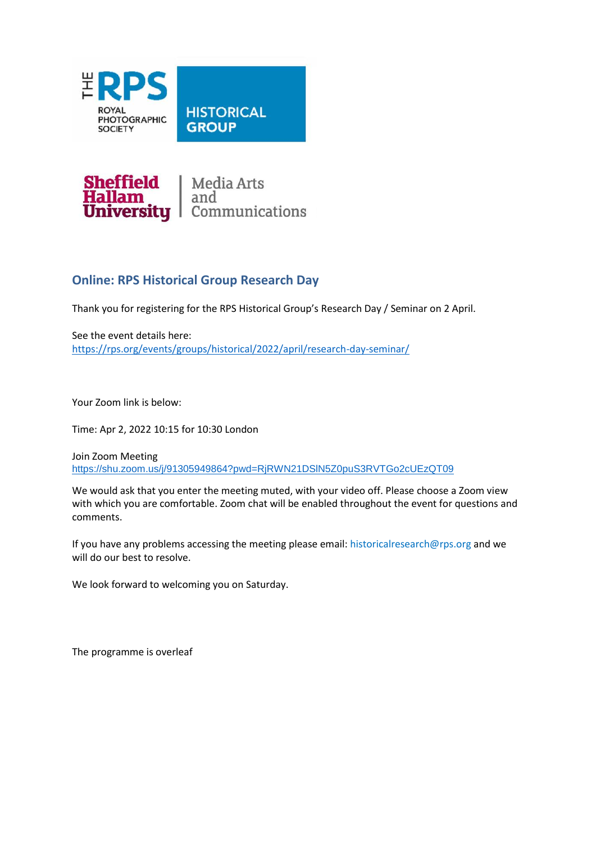



## **Online: RPS Historical Group Research Day**

Thank you for registering for the RPS Historical Group's Research Day / Seminar on 2 April.

See the event details here: <https://rps.org/events/groups/historical/2022/april/research-day-seminar/>

Your Zoom link is below:

Time: Apr 2, 2022 10:15 for 10:30 London

Join Zoom Meeting <https://shu.zoom.us/j/91305949864?pwd=RjRWN21DSlN5Z0puS3RVTGo2cUEzQT09>

We would ask that you enter the meeting muted, with your video off. Please choose a Zoom view with which you are comfortable. Zoom chat will be enabled throughout the event for questions and comments.

If you have any problems accessing the meeting please email: historicalresearch@rps.org and we will do our best to resolve.

We look forward to welcoming you on Saturday.

The programme is overleaf